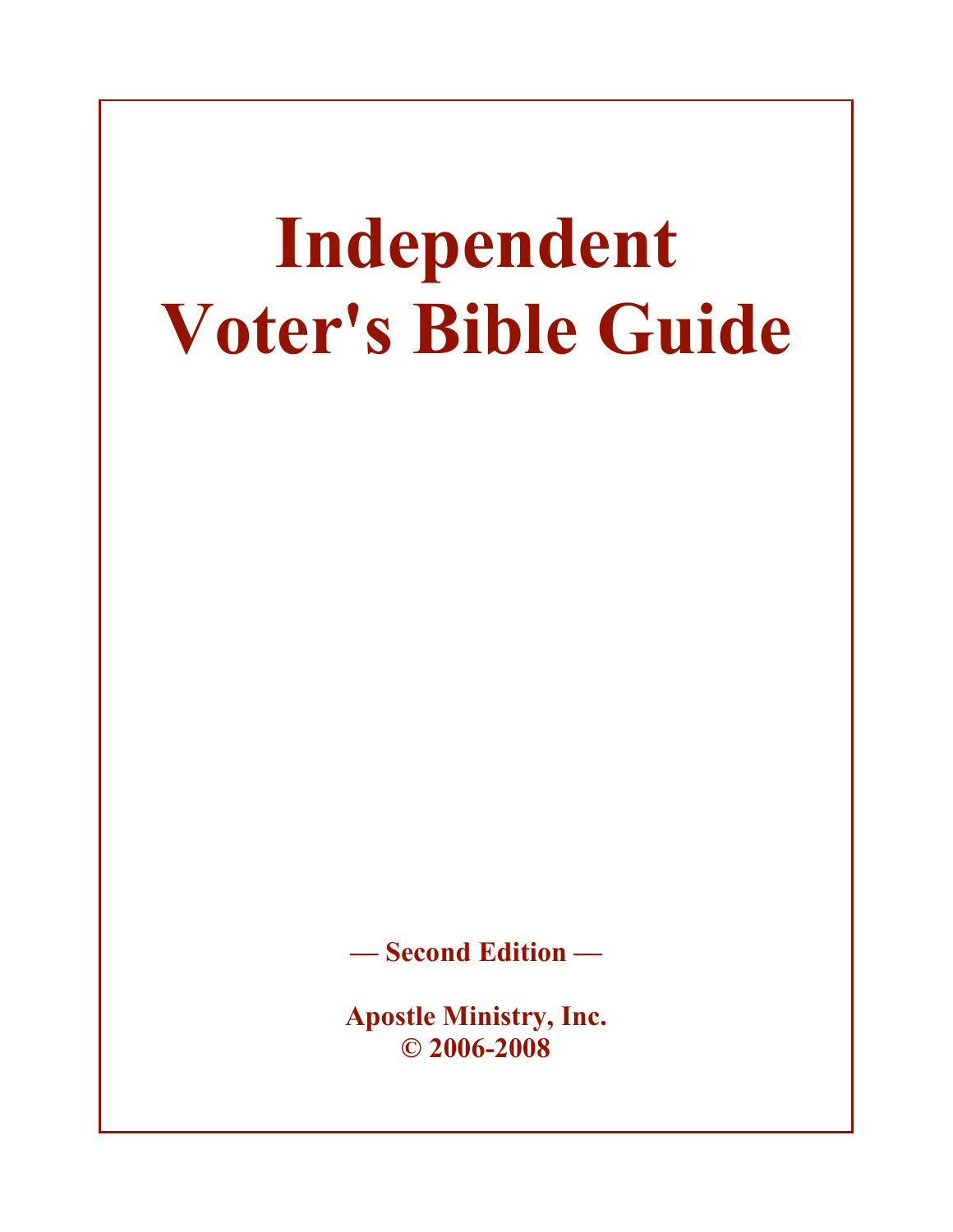# **Independent Voter's Bible Guide**

**— Second Edition —**

**Apostle Ministry, Inc. © 2006-2008**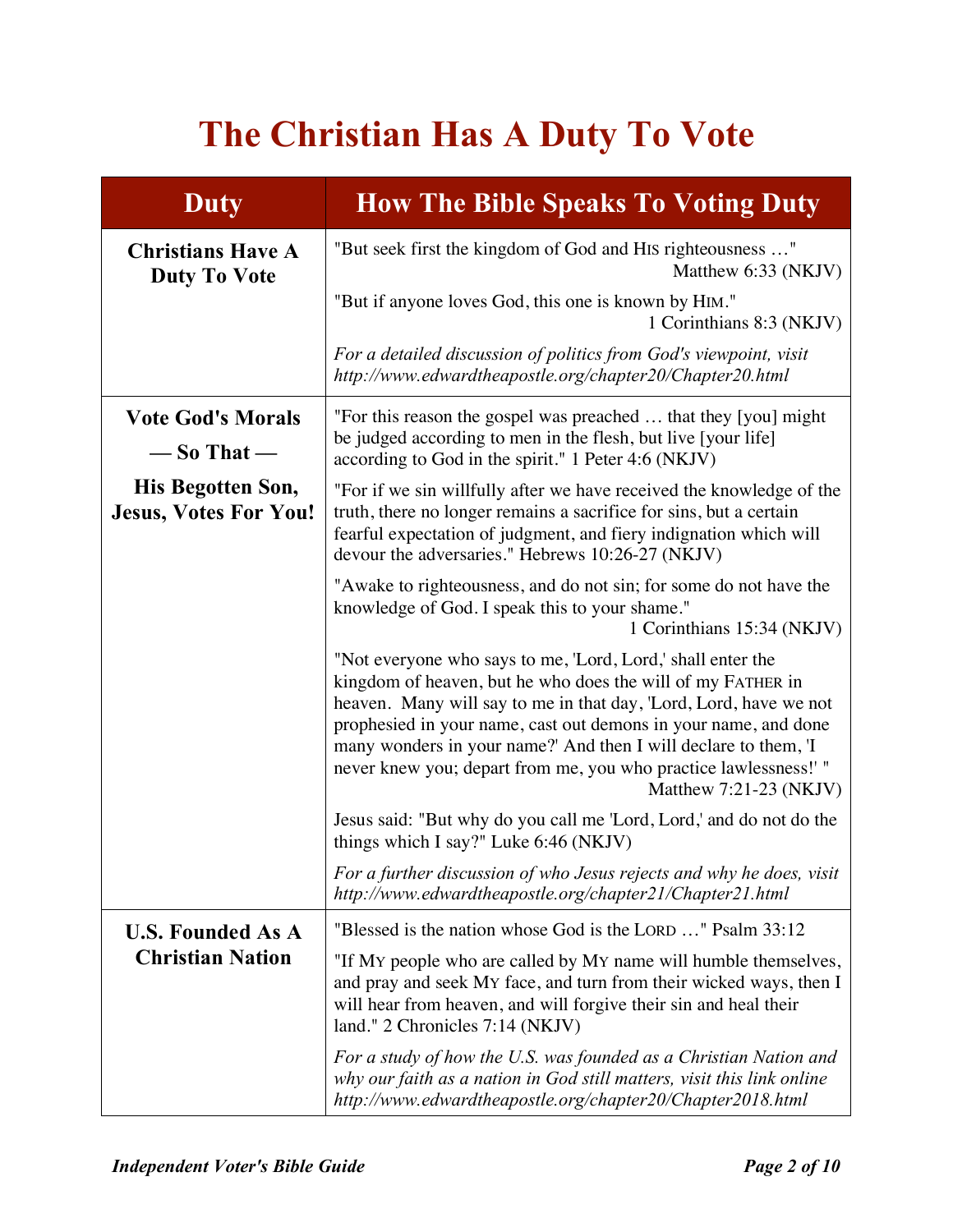## **The Christian Has A Duty To Vote**

| <b>Duty</b>                                       | <b>How The Bible Speaks To Voting Duty</b>                                                                                                                                                                                                                                                                                                                                                                                            |
|---------------------------------------------------|---------------------------------------------------------------------------------------------------------------------------------------------------------------------------------------------------------------------------------------------------------------------------------------------------------------------------------------------------------------------------------------------------------------------------------------|
| <b>Christians Have A</b><br><b>Duty To Vote</b>   | "But seek first the kingdom of God and HIS righteousness "<br>Matthew 6:33 (NKJV)                                                                                                                                                                                                                                                                                                                                                     |
|                                                   | "But if anyone loves God, this one is known by HIM."<br>1 Corinthians 8:3 (NKJV)                                                                                                                                                                                                                                                                                                                                                      |
|                                                   | For a detailed discussion of politics from God's viewpoint, visit<br>http://www.edwardtheapostle.org/chapter20/Chapter20.html                                                                                                                                                                                                                                                                                                         |
| <b>Vote God's Morals</b><br>$-$ So That $-$       | "For this reason the gospel was preached  that they [you] might<br>be judged according to men in the flesh, but live [your life]<br>according to God in the spirit." 1 Peter 4:6 (NKJV)                                                                                                                                                                                                                                               |
| His Begotten Son,<br><b>Jesus, Votes For You!</b> | "For if we sin willfully after we have received the knowledge of the<br>truth, there no longer remains a sacrifice for sins, but a certain<br>fearful expectation of judgment, and fiery indignation which will<br>devour the adversaries." Hebrews 10:26-27 (NKJV)                                                                                                                                                                   |
|                                                   | "Awake to righteousness, and do not sin; for some do not have the<br>knowledge of God. I speak this to your shame."<br>1 Corinthians 15:34 (NKJV)                                                                                                                                                                                                                                                                                     |
|                                                   | "Not everyone who says to me, 'Lord, Lord,' shall enter the<br>kingdom of heaven, but he who does the will of my FATHER in<br>heaven. Many will say to me in that day, 'Lord, Lord, have we not<br>prophesied in your name, cast out demons in your name, and done<br>many wonders in your name?' And then I will declare to them, 'I<br>never knew you; depart from me, you who practice lawlessness!' "<br>Matthew $7:21-23$ (NKJV) |
|                                                   | Jesus said: "But why do you call me 'Lord, Lord,' and do not do the<br>things which I say?" Luke 6:46 (NKJV)                                                                                                                                                                                                                                                                                                                          |
|                                                   | For a further discussion of who Jesus rejects and why he does, visit<br>http://www.edwardtheapostle.org/chapter21/Chapter21.html                                                                                                                                                                                                                                                                                                      |
| <b>U.S. Founded As A</b>                          | "Blessed is the nation whose God is the LORD " Psalm 33:12                                                                                                                                                                                                                                                                                                                                                                            |
| <b>Christian Nation</b>                           | "If My people who are called by My name will humble themselves,<br>and pray and seek MY face, and turn from their wicked ways, then I<br>will hear from heaven, and will forgive their sin and heal their<br>land." 2 Chronicles 7:14 (NKJV)                                                                                                                                                                                          |
|                                                   | For a study of how the U.S. was founded as a Christian Nation and<br>why our faith as a nation in God still matters, visit this link online<br>http://www.edwardtheapostle.org/chapter20/Chapter2018.html                                                                                                                                                                                                                             |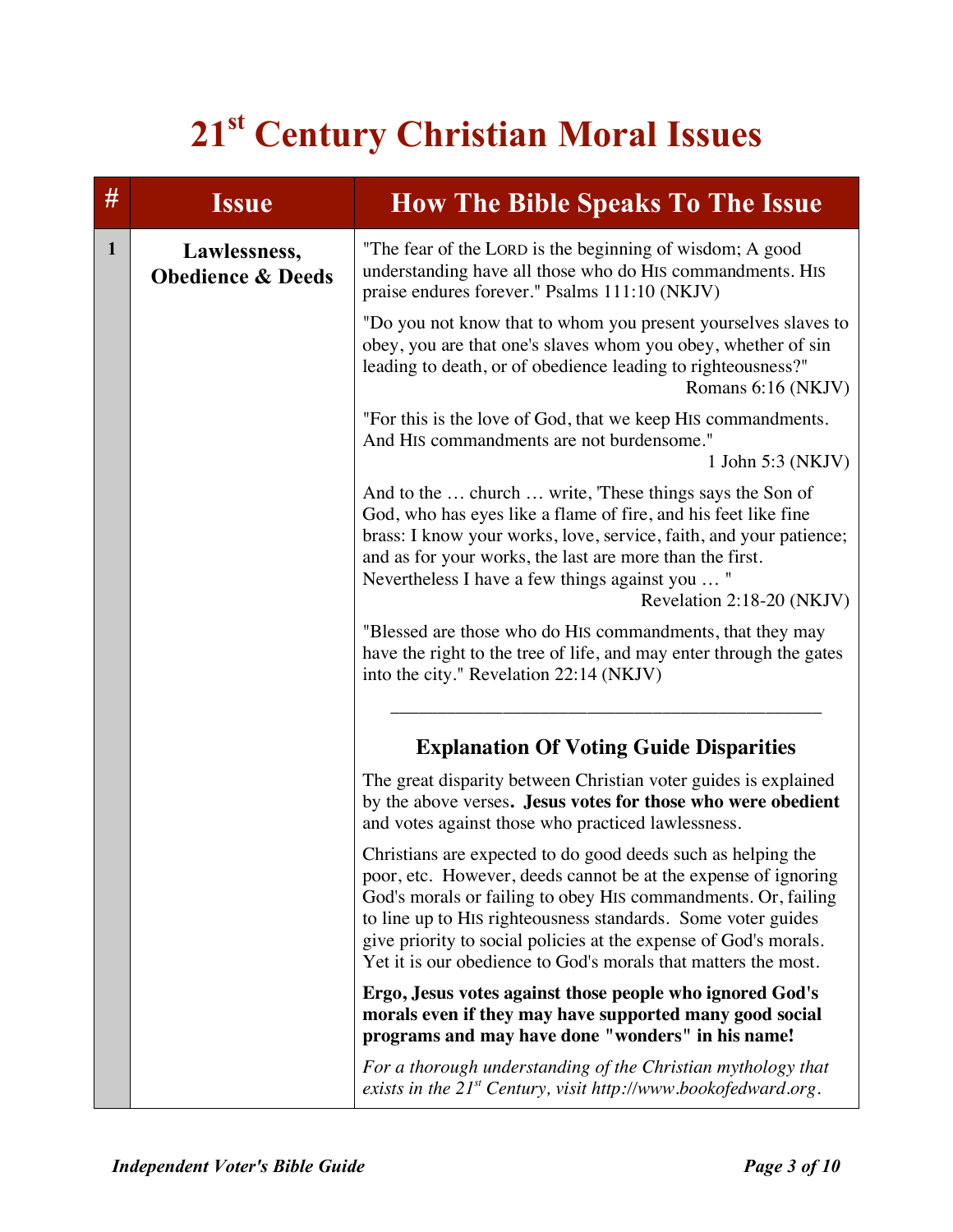## **21st Century Christian Moral Issues**

| #            | <b>Issue</b>                                 | <b>How The Bible Speaks To The Issue</b>                                                                                                                                                                                                                                                                                                                                                              |
|--------------|----------------------------------------------|-------------------------------------------------------------------------------------------------------------------------------------------------------------------------------------------------------------------------------------------------------------------------------------------------------------------------------------------------------------------------------------------------------|
| $\mathbf{1}$ | Lawlessness,<br><b>Obedience &amp; Deeds</b> | "The fear of the LORD is the beginning of wisdom; A good<br>understanding have all those who do HIS commandments. HIS<br>praise endures forever." Psalms 111:10 (NKJV)                                                                                                                                                                                                                                |
|              |                                              | "Do you not know that to whom you present yourselves slaves to<br>obey, you are that one's slaves whom you obey, whether of sin<br>leading to death, or of obedience leading to righteousness?"<br>Romans 6:16 (NKJV)                                                                                                                                                                                 |
|              |                                              | "For this is the love of God, that we keep HIS commandments.<br>And HIS commandments are not burdensome."<br>1 John 5:3 (NKJV)                                                                                                                                                                                                                                                                        |
|              |                                              | And to the  church  write, These things says the Son of<br>God, who has eyes like a flame of fire, and his feet like fine<br>brass: I know your works, love, service, faith, and your patience;<br>and as for your works, the last are more than the first.<br>Nevertheless I have a few things against you  "<br>Revelation 2:18-20 (NKJV)                                                           |
|              |                                              | "Blessed are those who do HIS commandments, that they may<br>have the right to the tree of life, and may enter through the gates<br>into the city." Revelation 22:14 (NKJV)                                                                                                                                                                                                                           |
|              |                                              | <b>Explanation Of Voting Guide Disparities</b>                                                                                                                                                                                                                                                                                                                                                        |
|              |                                              | The great disparity between Christian voter guides is explained<br>by the above verses. Jesus votes for those who were obedient<br>and votes against those who practiced lawlessness.                                                                                                                                                                                                                 |
|              |                                              | Christians are expected to do good deeds such as helping the<br>poor, etc. However, deeds cannot be at the expense of ignoring<br>God's morals or failing to obey HIS commandments. Or, failing<br>to line up to HIS righteousness standards. Some voter guides<br>give priority to social policies at the expense of God's morals.<br>Yet it is our obedience to God's morals that matters the most. |
|              |                                              | Ergo, Jesus votes against those people who ignored God's<br>morals even if they may have supported many good social<br>programs and may have done "wonders" in his name!                                                                                                                                                                                                                              |
|              |                                              | For a thorough understanding of the Christian mythology that<br>exists in the $21^{st}$ Century, visit http://www.bookofedward.org.                                                                                                                                                                                                                                                                   |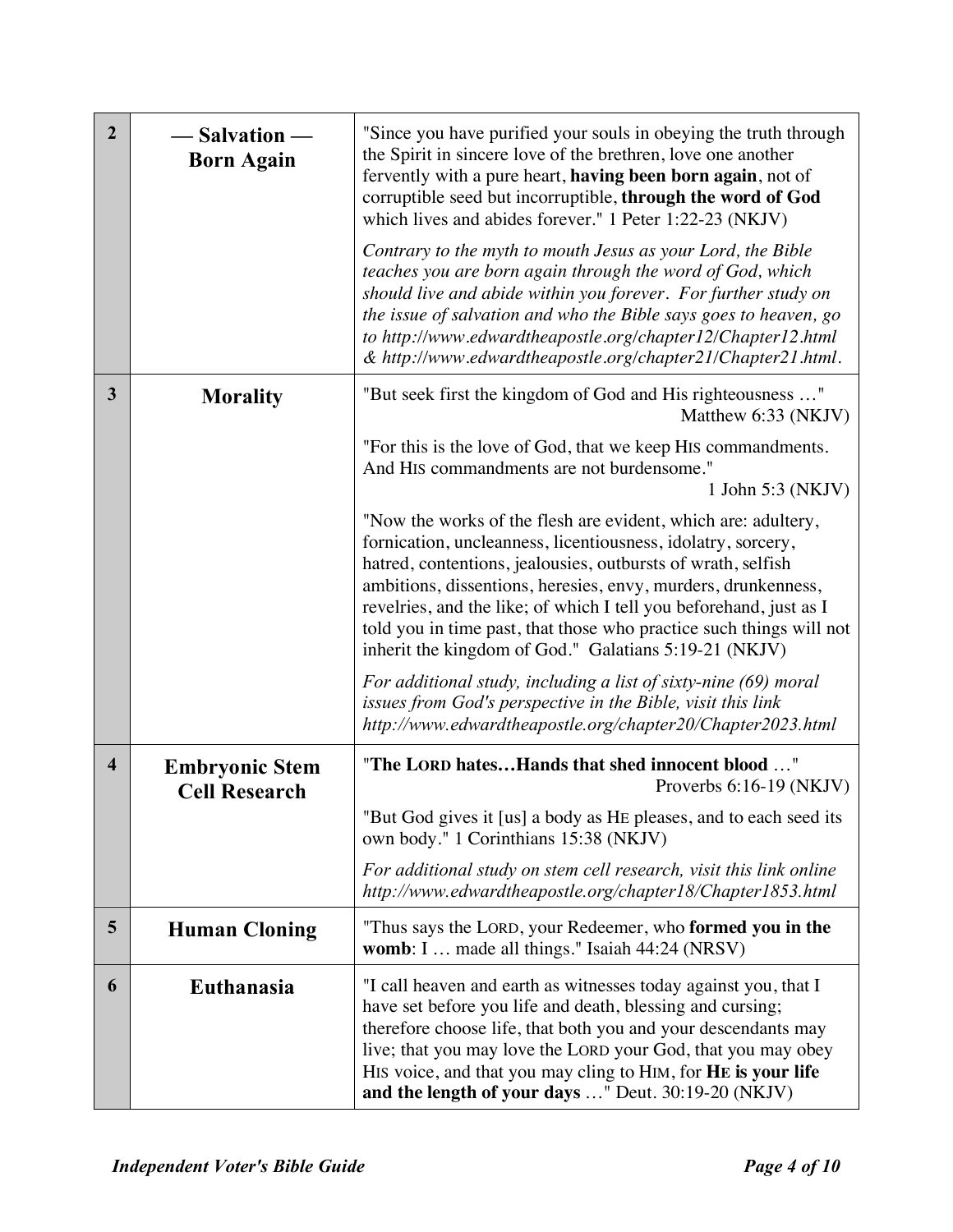| $\overline{2}$          | – Salvation —<br><b>Born Again</b>            | "Since you have purified your souls in obeying the truth through<br>the Spirit in sincere love of the brethren, love one another<br>fervently with a pure heart, having been born again, not of<br>corruptible seed but incorruptible, through the word of God<br>which lives and abides forever." 1 Peter 1:22-23 (NKJV)                                                                                                                                            |
|-------------------------|-----------------------------------------------|----------------------------------------------------------------------------------------------------------------------------------------------------------------------------------------------------------------------------------------------------------------------------------------------------------------------------------------------------------------------------------------------------------------------------------------------------------------------|
|                         |                                               | Contrary to the myth to mouth Jesus as your Lord, the Bible<br>teaches you are born again through the word of God, which<br>should live and abide within you forever. For further study on<br>the issue of salvation and who the Bible says goes to heaven, go<br>to http://www.edwardtheapostle.org/chapter12/Chapter12.html<br>& http://www.edwardtheapostle.org/chapter21/Chapter21.html.                                                                         |
| 3                       | <b>Morality</b>                               | "But seek first the kingdom of God and His righteousness "<br>Matthew 6:33 (NKJV)                                                                                                                                                                                                                                                                                                                                                                                    |
|                         |                                               | "For this is the love of God, that we keep HIS commandments.<br>And HIS commandments are not burdensome."<br>1 John 5:3 (NKJV)                                                                                                                                                                                                                                                                                                                                       |
|                         |                                               | "Now the works of the flesh are evident, which are: adultery,<br>fornication, uncleanness, licentiousness, idolatry, sorcery,<br>hatred, contentions, jealousies, outbursts of wrath, selfish<br>ambitions, dissentions, heresies, envy, murders, drunkenness,<br>revelries, and the like; of which I tell you beforehand, just as I<br>told you in time past, that those who practice such things will not<br>inherit the kingdom of God." Galatians 5:19-21 (NKJV) |
|                         |                                               | For additional study, including a list of sixty-nine (69) moral<br>issues from God's perspective in the Bible, visit this link<br>http://www.edwardtheapostle.org/chapter20/Chapter2023.html                                                                                                                                                                                                                                                                         |
| $\overline{\mathbf{4}}$ | <b>Embryonic Stem</b><br><b>Cell Research</b> | "The LORD hatesHands that shed innocent blood "<br>Proverbs $6:16-19$ (NKJV)                                                                                                                                                                                                                                                                                                                                                                                         |
|                         |                                               | "But God gives it [us] a body as HE pleases, and to each seed its<br>own body." 1 Corinthians 15:38 (NKJV)                                                                                                                                                                                                                                                                                                                                                           |
|                         |                                               | For additional study on stem cell research, visit this link online<br>http://www.edwardtheapostle.org/chapter18/Chapter1853.html                                                                                                                                                                                                                                                                                                                                     |
| 5                       | <b>Human Cloning</b>                          | "Thus says the LORD, your Redeemer, who formed you in the<br>womb: I  made all things." Isaiah 44:24 (NRSV)                                                                                                                                                                                                                                                                                                                                                          |
| 6                       | Euthanasia                                    | "I call heaven and earth as witnesses today against you, that I<br>have set before you life and death, blessing and cursing;<br>therefore choose life, that both you and your descendants may<br>live; that you may love the LORD your God, that you may obey<br>HIS voice, and that you may cling to HIM, for HE is your life<br>and the length of your days " Deut. 30:19-20 (NKJV)                                                                                |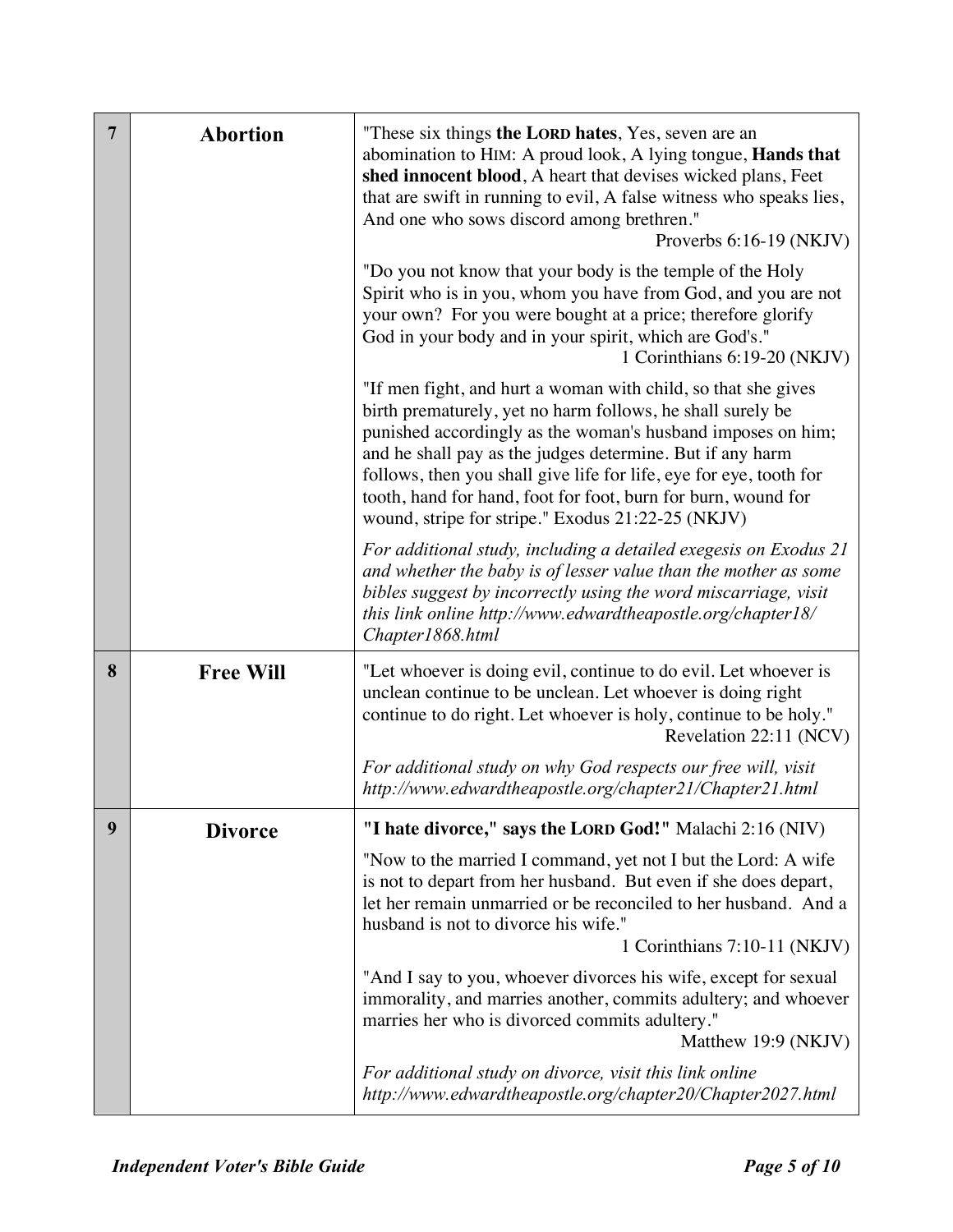| $\overline{7}$ | <b>Abortion</b>  | "These six things the LORD hates, Yes, seven are an<br>abomination to HIM: A proud look, A lying tongue, <b>Hands that</b><br>shed innocent blood, A heart that devises wicked plans, Feet<br>that are swift in running to evil, A false witness who speaks lies,<br>And one who sows discord among brethren."<br>Proverbs $6:16-19$ (NKJV)                                                                                                         |
|----------------|------------------|-----------------------------------------------------------------------------------------------------------------------------------------------------------------------------------------------------------------------------------------------------------------------------------------------------------------------------------------------------------------------------------------------------------------------------------------------------|
|                |                  | "Do you not know that your body is the temple of the Holy<br>Spirit who is in you, whom you have from God, and you are not<br>your own? For you were bought at a price; therefore glorify<br>God in your body and in your spirit, which are God's."<br>1 Corinthians 6:19-20 (NKJV)                                                                                                                                                                 |
|                |                  | "If men fight, and hurt a woman with child, so that she gives<br>birth prematurely, yet no harm follows, he shall surely be<br>punished accordingly as the woman's husband imposes on him;<br>and he shall pay as the judges determine. But if any harm<br>follows, then you shall give life for life, eye for eye, tooth for<br>tooth, hand for hand, foot for foot, burn for burn, wound for<br>wound, stripe for stripe." Exodus 21:22-25 (NKJV) |
|                |                  | For additional study, including a detailed exegesis on Exodus 21<br>and whether the baby is of lesser value than the mother as some<br>bibles suggest by incorrectly using the word miscarriage, visit<br>this link online http://www.edwardtheapostle.org/chapter18/<br>Chapter1868.html                                                                                                                                                           |
| 8              | <b>Free Will</b> | "Let whoever is doing evil, continue to do evil. Let whoever is<br>unclean continue to be unclean. Let whoever is doing right<br>continue to do right. Let whoever is holy, continue to be holy."<br>Revelation 22:11 (NCV)                                                                                                                                                                                                                         |
|                |                  | For additional study on why God respects our free will, visit<br>http://www.edwardtheapostle.org/chapter21/Chapter21.html                                                                                                                                                                                                                                                                                                                           |
| 9              | <b>Divorce</b>   | "I hate divorce," says the LORD God!" Malachi 2:16 (NIV)                                                                                                                                                                                                                                                                                                                                                                                            |
|                |                  | "Now to the married I command, yet not I but the Lord: A wife<br>is not to depart from her husband. But even if she does depart,<br>let her remain unmarried or be reconciled to her husband. And a<br>husband is not to divorce his wife."                                                                                                                                                                                                         |
|                |                  | 1 Corinthians 7:10-11 (NKJV)                                                                                                                                                                                                                                                                                                                                                                                                                        |
|                |                  | "And I say to you, whoever divorces his wife, except for sexual<br>immorality, and marries another, commits adultery; and whoever<br>marries her who is divorced commits adultery."<br>Matthew 19:9 (NKJV)                                                                                                                                                                                                                                          |
|                |                  | For additional study on divorce, visit this link online<br>http://www.edwardtheapostle.org/chapter20/Chapter2027.html                                                                                                                                                                                                                                                                                                                               |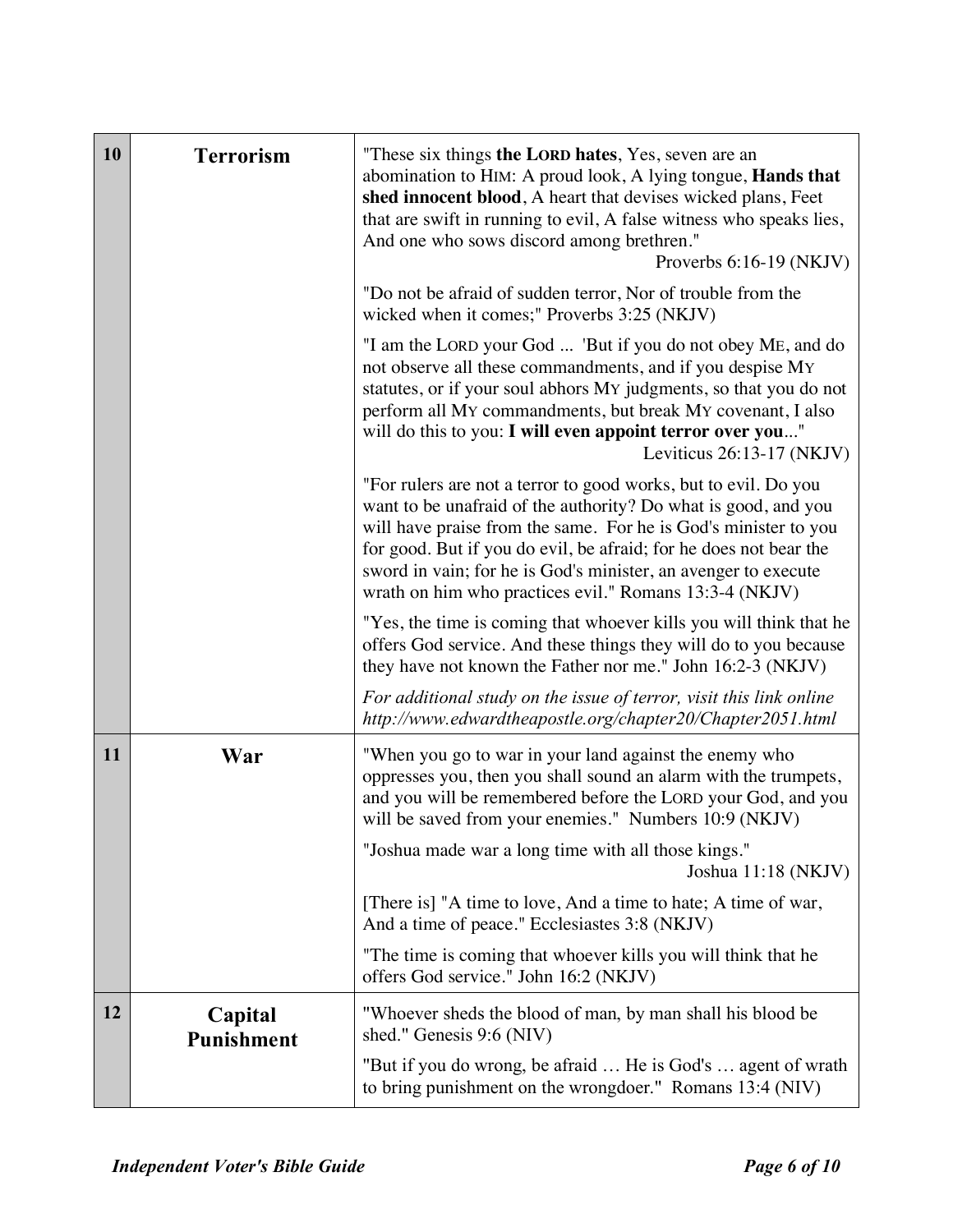| 10 | <b>Terrorism</b>             | "These six things the LORD hates, Yes, seven are an<br>abomination to HIM: A proud look, A lying tongue, Hands that<br>shed innocent blood, A heart that devises wicked plans, Feet<br>that are swift in running to evil, A false witness who speaks lies,<br>And one who sows discord among brethren."<br>Proverbs $6:16-19$ (NKJV)                                                                  |
|----|------------------------------|-------------------------------------------------------------------------------------------------------------------------------------------------------------------------------------------------------------------------------------------------------------------------------------------------------------------------------------------------------------------------------------------------------|
|    |                              | "Do not be afraid of sudden terror, Nor of trouble from the<br>wicked when it comes;" Proverbs 3:25 (NKJV)                                                                                                                                                                                                                                                                                            |
|    |                              | "I am the LORD your God  'But if you do not obey ME, and do<br>not observe all these commandments, and if you despise MY<br>statutes, or if your soul abhors My judgments, so that you do not<br>perform all My commandments, but break My covenant, I also<br>will do this to you: I will even appoint terror over you"<br>Leviticus $26:13-17$ (NKJV)                                               |
|    |                              | "For rulers are not a terror to good works, but to evil. Do you<br>want to be unafraid of the authority? Do what is good, and you<br>will have praise from the same. For he is God's minister to you<br>for good. But if you do evil, be afraid; for he does not bear the<br>sword in vain; for he is God's minister, an avenger to execute<br>wrath on him who practices evil." Romans 13:3-4 (NKJV) |
|    |                              | "Yes, the time is coming that whoever kills you will think that he<br>offers God service. And these things they will do to you because<br>they have not known the Father nor me." John 16:2-3 (NKJV)                                                                                                                                                                                                  |
|    |                              | For additional study on the issue of terror, visit this link online<br>http://www.edwardtheapostle.org/chapter20/Chapter2051.html                                                                                                                                                                                                                                                                     |
| 11 | War                          | "When you go to war in your land against the enemy who<br>oppresses you, then you shall sound an alarm with the trumpets,<br>and you will be remembered before the LORD your God, and you<br>will be saved from your enemies." Numbers 10:9 (NKJV)                                                                                                                                                    |
|    |                              | "Joshua made war a long time with all those kings."<br>Joshua 11:18 (NKJV)                                                                                                                                                                                                                                                                                                                            |
|    |                              | [There is] "A time to love, And a time to hate; A time of war,<br>And a time of peace." Ecclesiastes 3:8 (NKJV)                                                                                                                                                                                                                                                                                       |
|    |                              | "The time is coming that whoever kills you will think that he<br>offers God service." John 16:2 (NKJV)                                                                                                                                                                                                                                                                                                |
| 12 | Capital<br><b>Punishment</b> | "Whoever sheds the blood of man, by man shall his blood be<br>shed." Genesis 9:6 (NIV)                                                                                                                                                                                                                                                                                                                |
|    |                              | "But if you do wrong, be afraid  He is God's  agent of wrath<br>to bring punishment on the wrongdoer." Romans 13:4 (NIV)                                                                                                                                                                                                                                                                              |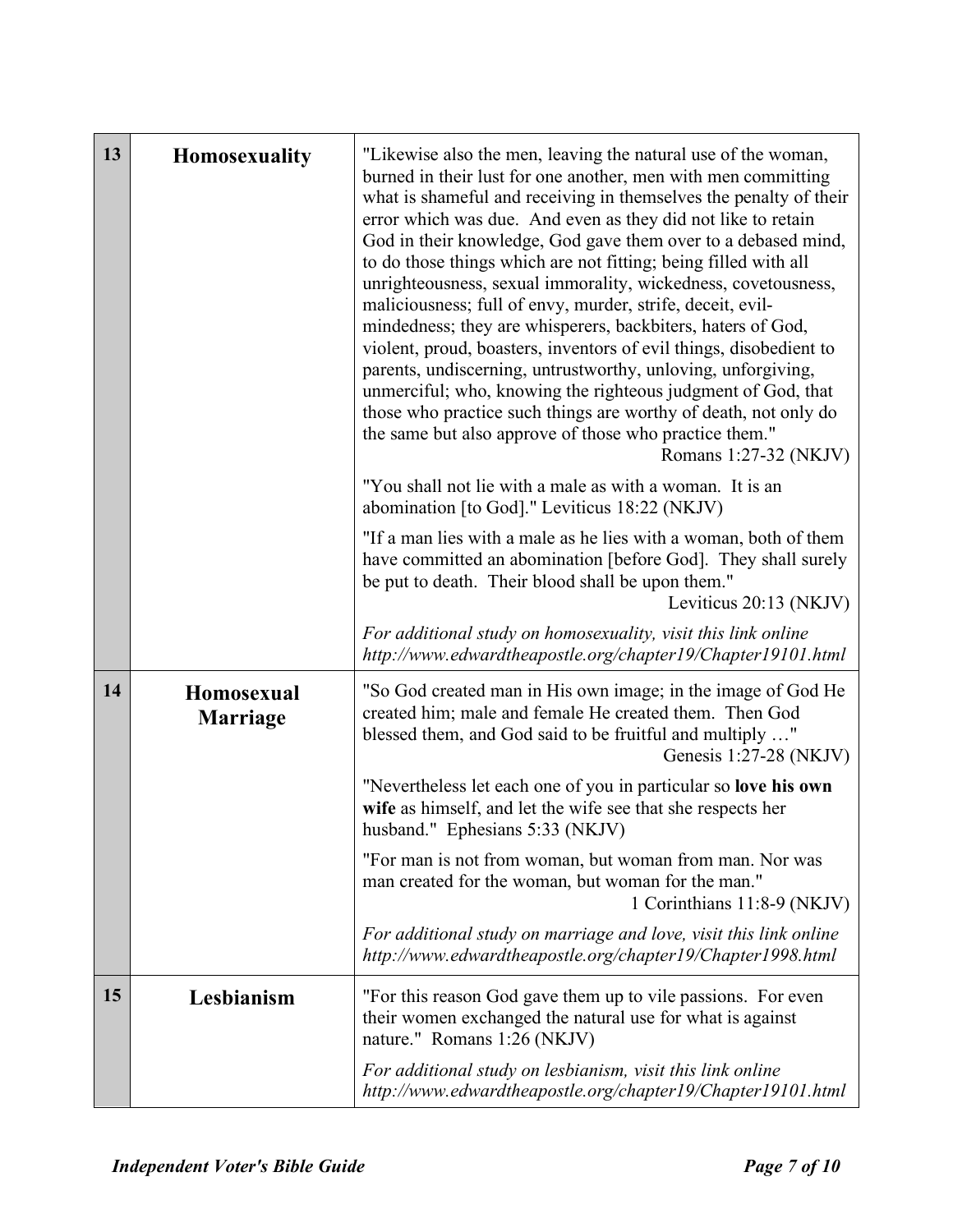| 13 | <b>Homosexuality</b>          | "Likewise also the men, leaving the natural use of the woman,<br>burned in their lust for one another, men with men committing<br>what is shameful and receiving in themselves the penalty of their<br>error which was due. And even as they did not like to retain<br>God in their knowledge, God gave them over to a debased mind,<br>to do those things which are not fitting; being filled with all<br>unrighteousness, sexual immorality, wickedness, covetousness,<br>maliciousness; full of envy, murder, strife, deceit, evil-<br>mindedness; they are whisperers, backbiters, haters of God,<br>violent, proud, boasters, inventors of evil things, disobedient to<br>parents, undiscerning, untrustworthy, unloving, unforgiving,<br>unmerciful; who, knowing the righteous judgment of God, that<br>those who practice such things are worthy of death, not only do<br>the same but also approve of those who practice them."<br>Romans 1:27-32 (NKJV)<br>"You shall not lie with a male as with a woman. It is an |
|----|-------------------------------|-------------------------------------------------------------------------------------------------------------------------------------------------------------------------------------------------------------------------------------------------------------------------------------------------------------------------------------------------------------------------------------------------------------------------------------------------------------------------------------------------------------------------------------------------------------------------------------------------------------------------------------------------------------------------------------------------------------------------------------------------------------------------------------------------------------------------------------------------------------------------------------------------------------------------------------------------------------------------------------------------------------------------------|
|    |                               | abomination [to God]." Leviticus 18:22 (NKJV)<br>"If a man lies with a male as he lies with a woman, both of them<br>have committed an abomination [before God]. They shall surely<br>be put to death. Their blood shall be upon them."<br>Leviticus 20:13 (NKJV)<br>For additional study on homosexuality, visit this link online                                                                                                                                                                                                                                                                                                                                                                                                                                                                                                                                                                                                                                                                                            |
| 14 | Homosexual<br><b>Marriage</b> | http://www.edwardtheapostle.org/chapter19/Chapter19101.html<br>"So God created man in His own image; in the image of God He<br>created him; male and female He created them. Then God<br>blessed them, and God said to be fruitful and multiply "<br>Genesis $1:27-28$ (NKJV)<br>"Nevertheless let each one of you in particular so love his own                                                                                                                                                                                                                                                                                                                                                                                                                                                                                                                                                                                                                                                                              |
|    |                               | wife as himself, and let the wife see that she respects her<br>husband." Ephesians 5:33 (NKJV)<br>"For man is not from woman, but woman from man. Nor was<br>man created for the woman, but woman for the man."<br>1 Corinthians 11:8-9 (NKJV)                                                                                                                                                                                                                                                                                                                                                                                                                                                                                                                                                                                                                                                                                                                                                                                |
|    |                               | For additional study on marriage and love, visit this link online<br>http://www.edwardtheapostle.org/chapter19/Chapter1998.html                                                                                                                                                                                                                                                                                                                                                                                                                                                                                                                                                                                                                                                                                                                                                                                                                                                                                               |
| 15 | Lesbianism                    | "For this reason God gave them up to vile passions. For even<br>their women exchanged the natural use for what is against<br>nature." Romans 1:26 (NKJV)                                                                                                                                                                                                                                                                                                                                                                                                                                                                                                                                                                                                                                                                                                                                                                                                                                                                      |
|    |                               | For additional study on lesbianism, visit this link online<br>http://www.edwardtheapostle.org/chapter19/Chapter19101.html                                                                                                                                                                                                                                                                                                                                                                                                                                                                                                                                                                                                                                                                                                                                                                                                                                                                                                     |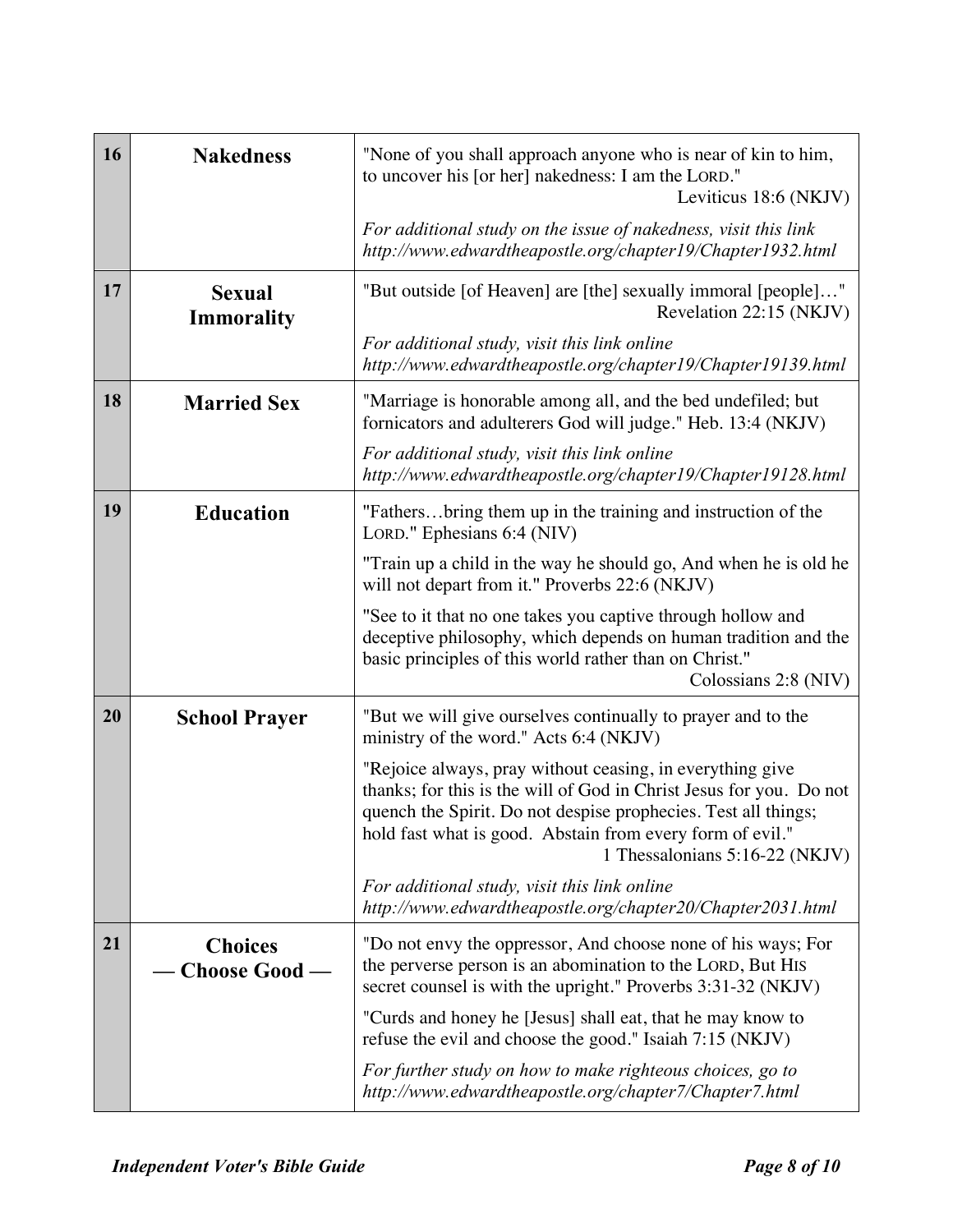| 16 | <b>Nakedness</b>                   | "None of you shall approach anyone who is near of kin to him,<br>to uncover his [or her] nakedness: I am the LORD."<br>Leviticus 18:6 (NKJV)                                                                                                                                                      |
|----|------------------------------------|---------------------------------------------------------------------------------------------------------------------------------------------------------------------------------------------------------------------------------------------------------------------------------------------------|
|    |                                    | For additional study on the issue of nakedness, visit this link<br>http://www.edwardtheapostle.org/chapter19/Chapter1932.html                                                                                                                                                                     |
| 17 | <b>Sexual</b><br><b>Immorality</b> | "But outside [of Heaven] are [the] sexually immoral [people]"<br>Revelation 22:15 (NKJV)                                                                                                                                                                                                          |
|    |                                    | For additional study, visit this link online<br>http://www.edwardtheapostle.org/chapter19/Chapter19139.html                                                                                                                                                                                       |
| 18 | <b>Married Sex</b>                 | "Marriage is honorable among all, and the bed undefiled; but<br>fornicators and adulterers God will judge." Heb. 13:4 (NKJV)                                                                                                                                                                      |
|    |                                    | For additional study, visit this link online<br>http://www.edwardtheapostle.org/chapter19/Chapter19128.html                                                                                                                                                                                       |
| 19 | <b>Education</b>                   | "Fathersbring them up in the training and instruction of the<br>LORD." Ephesians 6:4 (NIV)                                                                                                                                                                                                        |
|    |                                    | "Train up a child in the way he should go, And when he is old he<br>will not depart from it." Proverbs 22:6 (NKJV)                                                                                                                                                                                |
|    |                                    | "See to it that no one takes you captive through hollow and<br>deceptive philosophy, which depends on human tradition and the<br>basic principles of this world rather than on Christ."<br>Colossians 2:8 (NIV)                                                                                   |
| 20 | <b>School Prayer</b>               | "But we will give ourselves continually to prayer and to the<br>ministry of the word." Acts 6:4 (NKJV)                                                                                                                                                                                            |
|    |                                    | "Rejoice always, pray without ceasing, in everything give<br>thanks; for this is the will of God in Christ Jesus for you. Do not<br>quench the Spirit. Do not despise prophecies. Test all things;<br>hold fast what is good. Abstain from every form of evil."<br>1 Thessalonians 5:16-22 (NKJV) |
|    |                                    | For additional study, visit this link online<br>http://www.edwardtheapostle.org/chapter20/Chapter2031.html                                                                                                                                                                                        |
| 21 | <b>Choices</b><br>Choose Good -    | "Do not envy the oppressor, And choose none of his ways; For<br>the perverse person is an abomination to the LORD, But HIS<br>secret counsel is with the upright." Proverbs 3:31-32 (NKJV)                                                                                                        |
|    |                                    | "Curds and honey he [Jesus] shall eat, that he may know to<br>refuse the evil and choose the good." Isaiah 7:15 (NKJV)                                                                                                                                                                            |
|    |                                    | For further study on how to make righteous choices, go to<br>http://www.edwardtheapostle.org/chapter7/Chapter7.html                                                                                                                                                                               |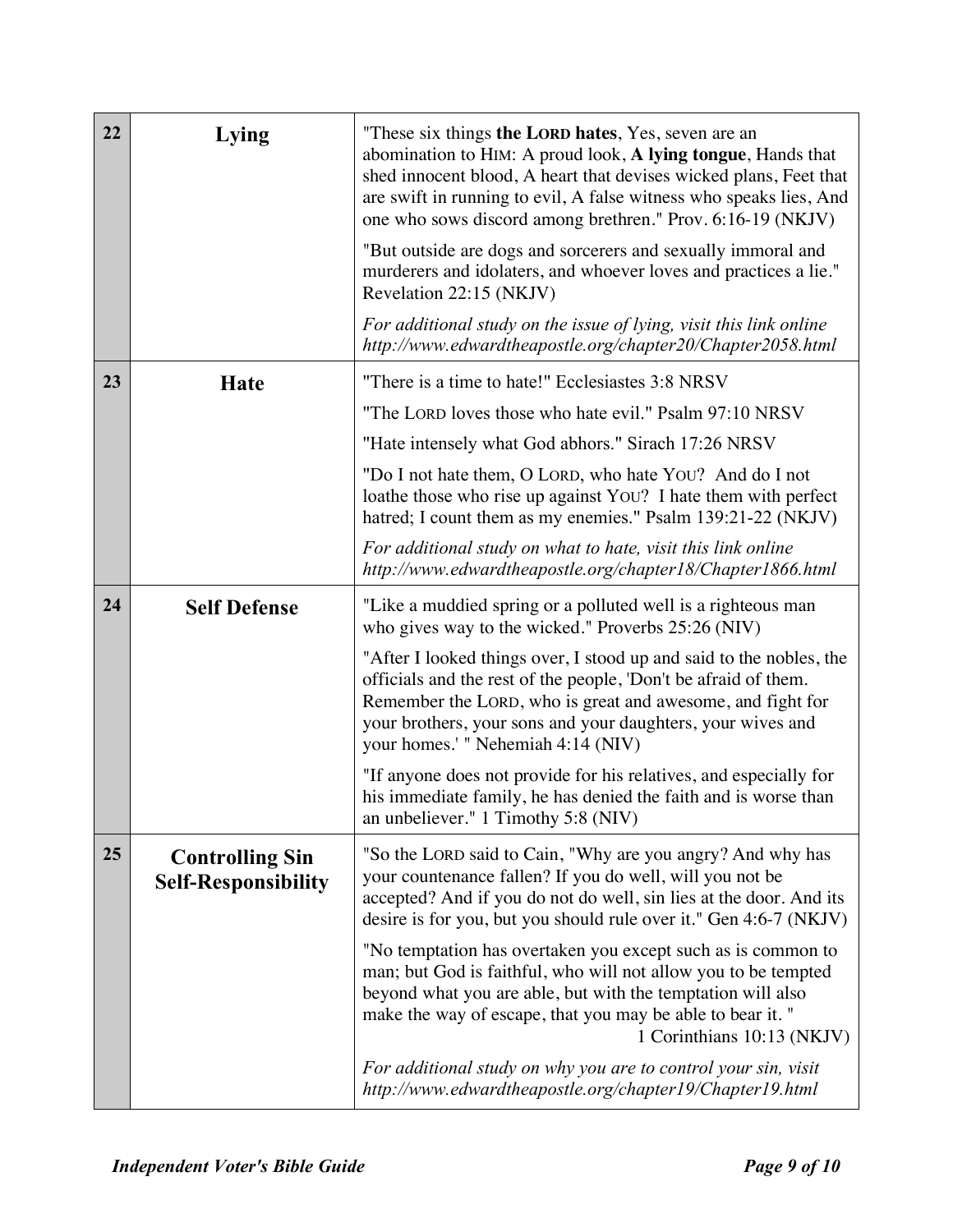| 22 | Lying                                                | "These six things the LORD hates, Yes, seven are an<br>abomination to HIM: A proud look, A lying tongue, Hands that<br>shed innocent blood, A heart that devises wicked plans, Feet that<br>are swift in running to evil, A false witness who speaks lies, And<br>one who sows discord among brethren." Prov. 6:16-19 (NKJV) |
|----|------------------------------------------------------|------------------------------------------------------------------------------------------------------------------------------------------------------------------------------------------------------------------------------------------------------------------------------------------------------------------------------|
|    |                                                      | "But outside are dogs and sorcerers and sexually immoral and<br>murderers and idolaters, and whoever loves and practices a lie."<br>Revelation 22:15 (NKJV)                                                                                                                                                                  |
|    |                                                      | For additional study on the issue of lying, visit this link online<br>http://www.edwardtheapostle.org/chapter20/Chapter2058.html                                                                                                                                                                                             |
| 23 | <b>Hate</b>                                          | "There is a time to hate!" Ecclesiastes 3:8 NRSV                                                                                                                                                                                                                                                                             |
|    |                                                      | "The LORD loves those who hate evil." Psalm 97:10 NRSV                                                                                                                                                                                                                                                                       |
|    |                                                      | "Hate intensely what God abhors." Sirach 17:26 NRSV                                                                                                                                                                                                                                                                          |
|    |                                                      | "Do I not hate them, O LORD, who hate YOU? And do I not<br>loathe those who rise up against You? I hate them with perfect<br>hatred; I count them as my enemies." Psalm 139:21-22 (NKJV)                                                                                                                                     |
|    |                                                      | For additional study on what to hate, visit this link online<br>http://www.edwardtheapostle.org/chapter18/Chapter1866.html                                                                                                                                                                                                   |
| 24 | <b>Self Defense</b>                                  | "Like a muddied spring or a polluted well is a righteous man<br>who gives way to the wicked." Proverbs 25:26 (NIV)                                                                                                                                                                                                           |
|    |                                                      | "After I looked things over, I stood up and said to the nobles, the<br>officials and the rest of the people, 'Don't be afraid of them.<br>Remember the LORD, who is great and awesome, and fight for<br>your brothers, your sons and your daughters, your wives and<br>your homes.' " Nehemiah 4:14 (NIV)                    |
|    |                                                      | "If anyone does not provide for his relatives, and especially for<br>his immediate family, he has denied the faith and is worse than<br>an unbeliever." 1 Timothy 5:8 (NIV)                                                                                                                                                  |
| 25 | <b>Controlling Sin</b><br><b>Self-Responsibility</b> | "So the LORD said to Cain, "Why are you angry? And why has<br>your countenance fallen? If you do well, will you not be<br>accepted? And if you do not do well, sin lies at the door. And its<br>desire is for you, but you should rule over it." Gen 4:6-7 (NKJV)                                                            |
|    |                                                      | "No temptation has overtaken you except such as is common to<br>man; but God is faithful, who will not allow you to be tempted<br>beyond what you are able, but with the temptation will also<br>make the way of escape, that you may be able to bear it. "<br>1 Corinthians 10:13 (NKJV)                                    |
|    |                                                      | For additional study on why you are to control your sin, visit<br>http://www.edwardtheapostle.org/chapter19/Chapter19.html                                                                                                                                                                                                   |